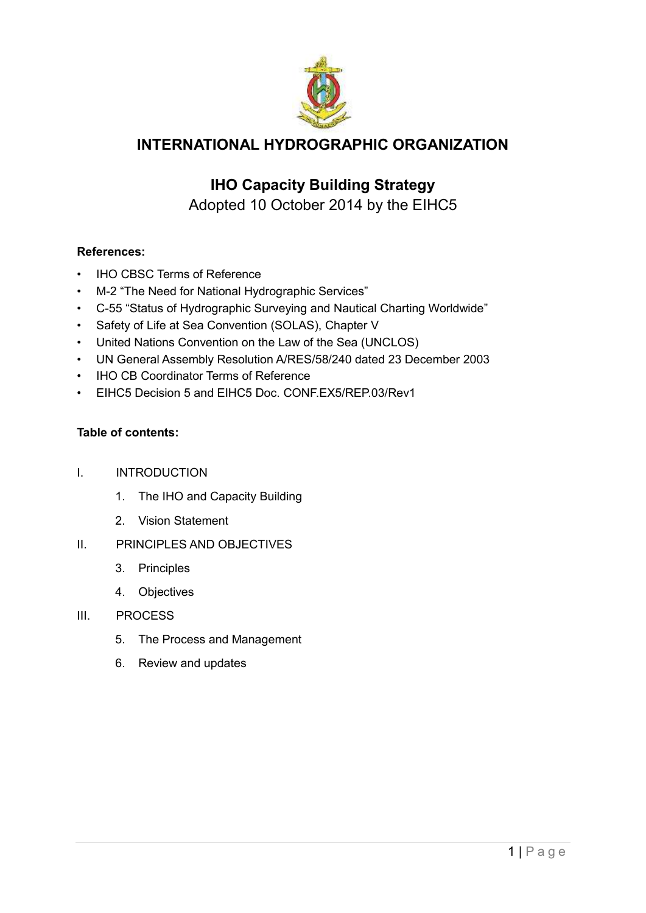

## **INTERNATIONAL HYDROGRAPHIC ORGANIZATION**

## **IHO Capacity Building Strategy**

Adopted 10 October 2014 by the EIHC5

#### **References:**

- **IHO CBSC Terms of Reference**
- M-2 "The Need for National Hydrographic Services"
- C-55 "Status of Hydrographic Surveying and Nautical Charting Worldwide"
- Safety of Life at Sea Convention (SOLAS), Chapter V
- United Nations Convention on the Law of the Sea (UNCLOS)
- UN General Assembly Resolution A/RES/58/240 dated 23 December 2003
- IHO CB Coordinator Terms of Reference
- EIHC5 Decision 5 and EIHC5 Doc. CONF.EX5/REP.03/Rev1

#### **Table of contents:**

- I. INTRODUCTION
	- 1. The IHO and Capacity Building
	- 2. Vision Statement

#### II. PRINCIPLES AND OBJECTIVES

- 3. Principles
- 4. Objectives
- III. PROCESS
	- 5. The Process and Management
	- 6. Review and updates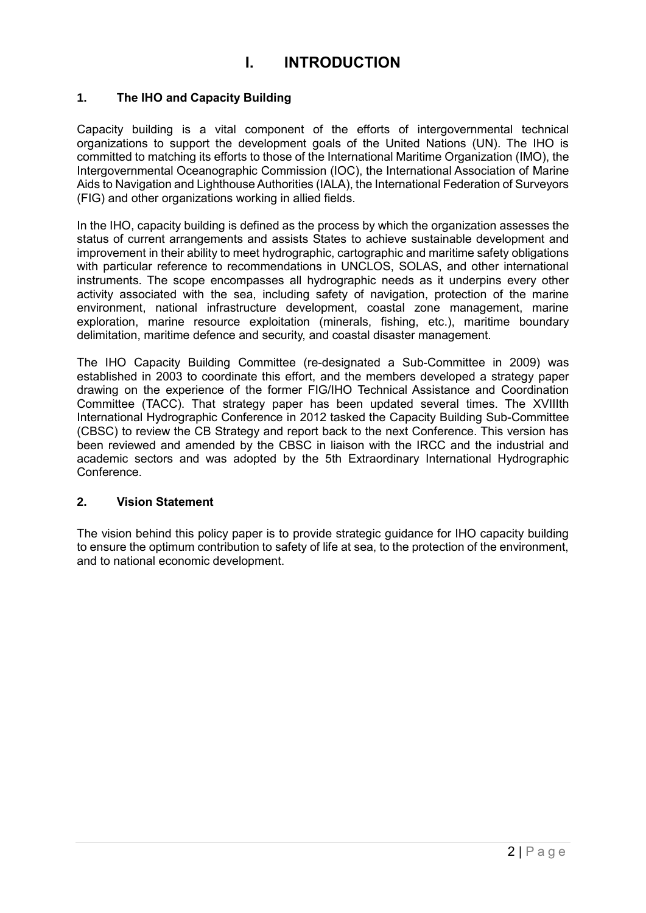## **I. INTRODUCTION**

#### **1. The IHO and Capacity Building**

Capacity building is a vital component of the efforts of intergovernmental technical organizations to support the development goals of the United Nations (UN). The IHO is committed to matching its efforts to those of the International Maritime Organization (IMO), the Intergovernmental Oceanographic Commission (IOC), the International Association of Marine Aids to Navigation and Lighthouse Authorities (IALA), the International Federation of Surveyors (FIG) and other organizations working in allied fields.

In the IHO, capacity building is defined as the process by which the organization assesses the status of current arrangements and assists States to achieve sustainable development and improvement in their ability to meet hydrographic, cartographic and maritime safety obligations with particular reference to recommendations in UNCLOS, SOLAS, and other international instruments. The scope encompasses all hydrographic needs as it underpins every other activity associated with the sea, including safety of navigation, protection of the marine environment, national infrastructure development, coastal zone management, marine exploration, marine resource exploitation (minerals, fishing, etc.), maritime boundary delimitation, maritime defence and security, and coastal disaster management.

The IHO Capacity Building Committee (re-designated a Sub-Committee in 2009) was established in 2003 to coordinate this effort, and the members developed a strategy paper drawing on the experience of the former FIG/IHO Technical Assistance and Coordination Committee (TACC). That strategy paper has been updated several times. The XVIIIth International Hydrographic Conference in 2012 tasked the Capacity Building Sub-Committee (CBSC) to review the CB Strategy and report back to the next Conference. This version has been reviewed and amended by the CBSC in liaison with the IRCC and the industrial and academic sectors and was adopted by the 5th Extraordinary International Hydrographic Conference.

#### **2. Vision Statement**

The vision behind this policy paper is to provide strategic guidance for IHO capacity building to ensure the optimum contribution to safety of life at sea, to the protection of the environment, and to national economic development.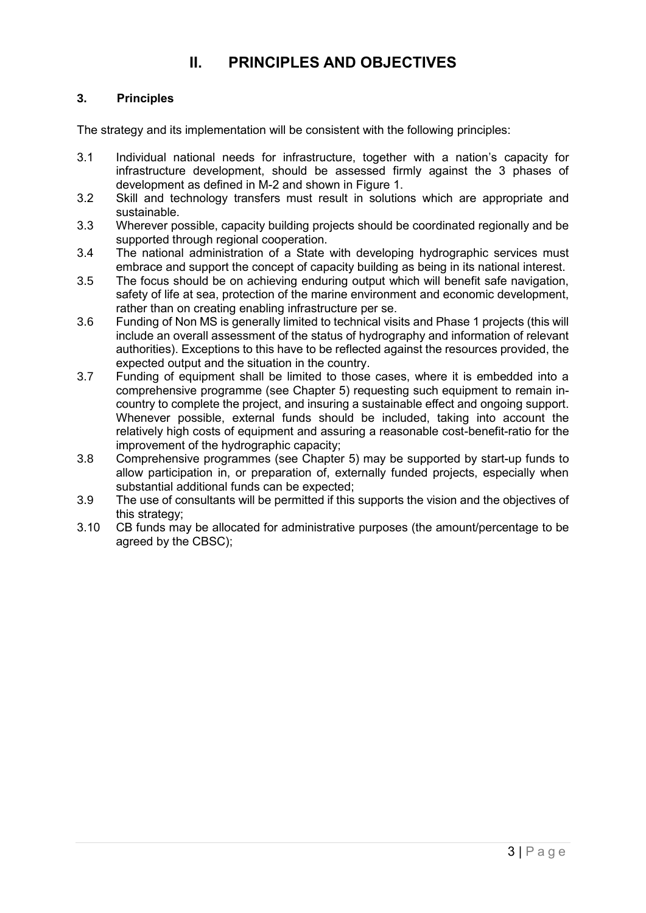## **II. PRINCIPLES AND OBJECTIVES**

#### **3. Principles**

The strategy and its implementation will be consistent with the following principles:

- 3.1 Individual national needs for infrastructure, together with a nation's capacity for infrastructure development, should be assessed firmly against the 3 phases of development as defined in M-2 and shown in Figure 1.
- 3.2 Skill and technology transfers must result in solutions which are appropriate and sustainable.
- 3.3 Wherever possible, capacity building projects should be coordinated regionally and be supported through regional cooperation.
- 3.4 The national administration of a State with developing hydrographic services must embrace and support the concept of capacity building as being in its national interest.
- 3.5 The focus should be on achieving enduring output which will benefit safe navigation, safety of life at sea, protection of the marine environment and economic development, rather than on creating enabling infrastructure per se.
- 3.6 Funding of Non MS is generally limited to technical visits and Phase 1 projects (this will include an overall assessment of the status of hydrography and information of relevant authorities). Exceptions to this have to be reflected against the resources provided, the expected output and the situation in the country.
- 3.7 Funding of equipment shall be limited to those cases, where it is embedded into a comprehensive programme (see Chapter 5) requesting such equipment to remain incountry to complete the project, and insuring a sustainable effect and ongoing support. Whenever possible, external funds should be included, taking into account the relatively high costs of equipment and assuring a reasonable cost-benefit-ratio for the improvement of the hydrographic capacity;
- 3.8 Comprehensive programmes (see Chapter 5) may be supported by start-up funds to allow participation in, or preparation of, externally funded projects, especially when substantial additional funds can be expected;
- 3.9 The use of consultants will be permitted if this supports the vision and the objectives of this strategy;
- 3.10 CB funds may be allocated for administrative purposes (the amount/percentage to be agreed by the CBSC);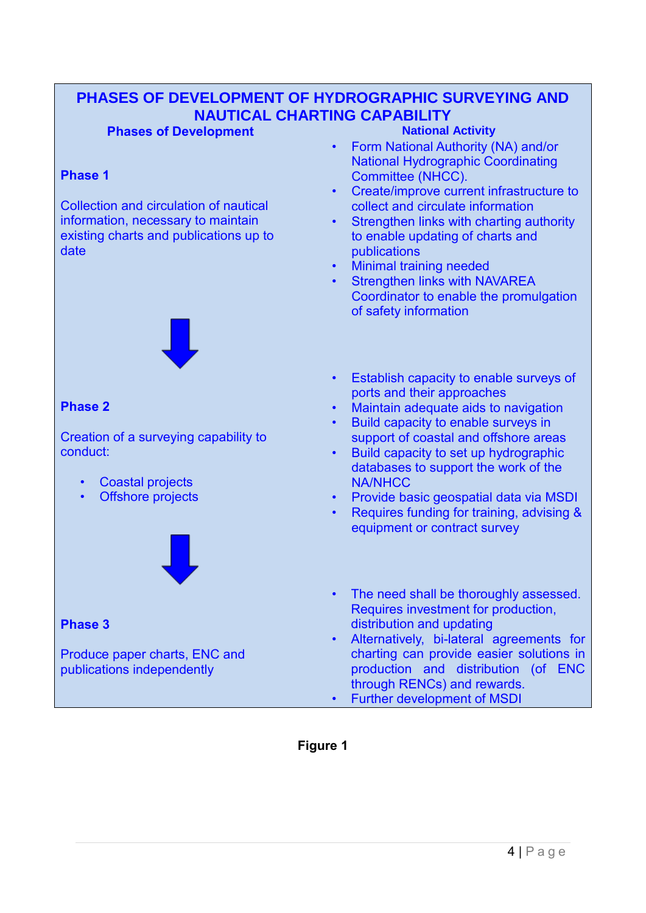# **PHASES OF DEVELOPMENT OF HYDROGRAPHIC SURVEYING AND NAUTICAL CHARTING CAPABILITY**

#### **Phases of Development**

#### **Phase 1**

Collection and circulation of nautical information, necessary to maintain existing charts and publications up to date



#### **Phase 2**

Creation of a surveying capability to conduct:

- Coastal projects
- Offshore projects



### **Phase 3**

Produce paper charts, ENC and publications independently

- Form National Authority (NA) and/or National Hydrographic Coordinating Committee (NHCC).
- Create/improve current infrastructure to collect and circulate information
- Strengthen links with charting authority to enable updating of charts and publications
- Minimal training needed
- Strengthen links with NAVAREA Coordinator to enable the promulgation of safety information
- Establish capacity to enable surveys of ports and their approaches
- Maintain adequate aids to navigation
- Build capacity to enable surveys in support of coastal and offshore areas
- Build capacity to set up hydrographic databases to support the work of the NA/NHCC
- Provide basic geospatial data via MSDI
- Requires funding for training, advising & equipment or contract survey
- The need shall be thoroughly assessed. Requires investment for production, distribution and updating
- Alternatively, bi-lateral agreements for charting can provide easier solutions in production and distribution (of ENC through RENCs) and rewards.
- Further development of MSDI

**Figure 1**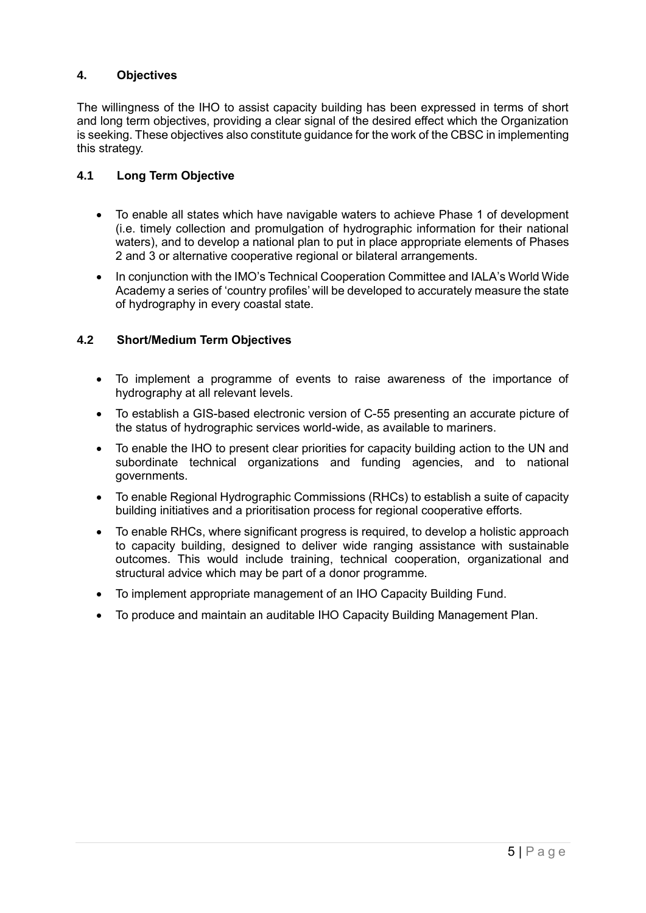#### **4. Objectives**

The willingness of the IHO to assist capacity building has been expressed in terms of short and long term objectives, providing a clear signal of the desired effect which the Organization is seeking. These objectives also constitute guidance for the work of the CBSC in implementing this strategy.

#### **4.1 Long Term Objective**

- To enable all states which have navigable waters to achieve Phase 1 of development (i.e. timely collection and promulgation of hydrographic information for their national waters), and to develop a national plan to put in place appropriate elements of Phases 2 and 3 or alternative cooperative regional or bilateral arrangements.
- In conjunction with the IMO's Technical Cooperation Committee and IALA's World Wide Academy a series of 'country profiles' will be developed to accurately measure the state of hydrography in every coastal state.

#### **4.2 Short/Medium Term Objectives**

- To implement a programme of events to raise awareness of the importance of hydrography at all relevant levels.
- To establish a GIS-based electronic version of C-55 presenting an accurate picture of the status of hydrographic services world-wide, as available to mariners.
- To enable the IHO to present clear priorities for capacity building action to the UN and subordinate technical organizations and funding agencies, and to national governments.
- To enable Regional Hydrographic Commissions (RHCs) to establish a suite of capacity building initiatives and a prioritisation process for regional cooperative efforts.
- To enable RHCs, where significant progress is required, to develop a holistic approach to capacity building, designed to deliver wide ranging assistance with sustainable outcomes. This would include training, technical cooperation, organizational and structural advice which may be part of a donor programme.
- To implement appropriate management of an IHO Capacity Building Fund.
- To produce and maintain an auditable IHO Capacity Building Management Plan.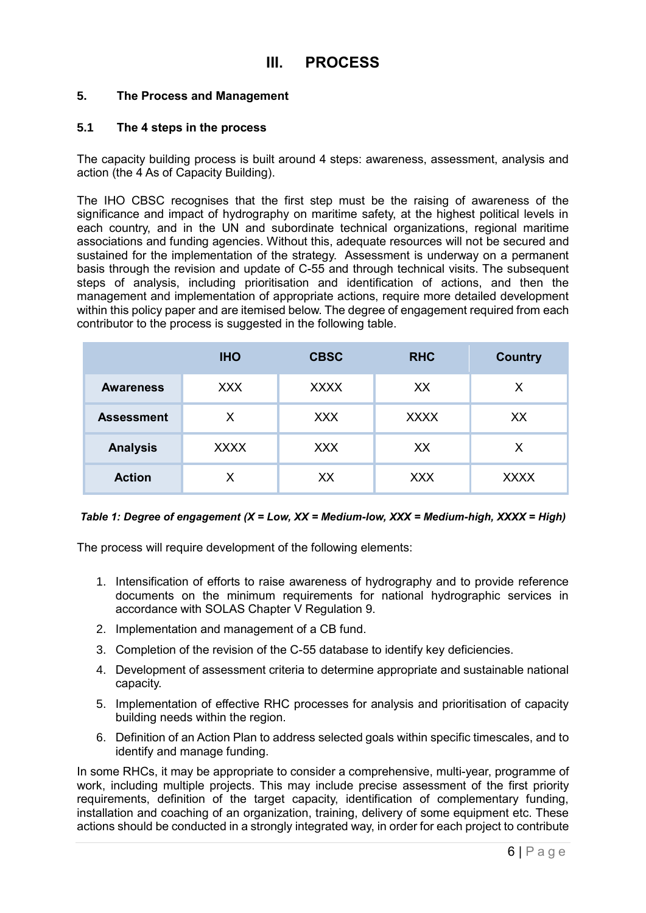#### **5. The Process and Management**

#### **5.1 The 4 steps in the process**

The capacity building process is built around 4 steps: awareness, assessment, analysis and action (the 4 As of Capacity Building).

The IHO CBSC recognises that the first step must be the raising of awareness of the significance and impact of hydrography on maritime safety, at the highest political levels in each country, and in the UN and subordinate technical organizations, regional maritime associations and funding agencies. Without this, adequate resources will not be secured and sustained for the implementation of the strategy. Assessment is underway on a permanent basis through the revision and update of C-55 and through technical visits. The subsequent steps of analysis, including prioritisation and identification of actions, and then the management and implementation of appropriate actions, require more detailed development within this policy paper and are itemised below. The degree of engagement required from each contributor to the process is suggested in the following table.

|                   | <b>IHO</b>  | <b>CBSC</b> | <b>RHC</b>  | <b>Country</b> |
|-------------------|-------------|-------------|-------------|----------------|
| <b>Awareness</b>  | <b>XXX</b>  | <b>XXXX</b> | XX          | X              |
| <b>Assessment</b> | Χ           | <b>XXX</b>  | <b>XXXX</b> | XX             |
| <b>Analysis</b>   | <b>XXXX</b> | <b>XXX</b>  | XX          | X              |
| <b>Action</b>     |             | XX          | <b>XXX</b>  | <b>XXXX</b>    |

#### *Table 1: Degree of engagement (X = Low, XX = Medium-low, XXX = Medium-high, XXXX = High)*

The process will require development of the following elements:

- 1. Intensification of efforts to raise awareness of hydrography and to provide reference documents on the minimum requirements for national hydrographic services in accordance with SOLAS Chapter V Regulation 9.
- 2. Implementation and management of a CB fund.
- 3. Completion of the revision of the C-55 database to identify key deficiencies.
- 4. Development of assessment criteria to determine appropriate and sustainable national capacity.
- 5. Implementation of effective RHC processes for analysis and prioritisation of capacity building needs within the region.
- 6. Definition of an Action Plan to address selected goals within specific timescales, and to identify and manage funding.

In some RHCs, it may be appropriate to consider a comprehensive, multi-year, programme of work, including multiple projects. This may include precise assessment of the first priority requirements, definition of the target capacity, identification of complementary funding, installation and coaching of an organization, training, delivery of some equipment etc. These actions should be conducted in a strongly integrated way, in order for each project to contribute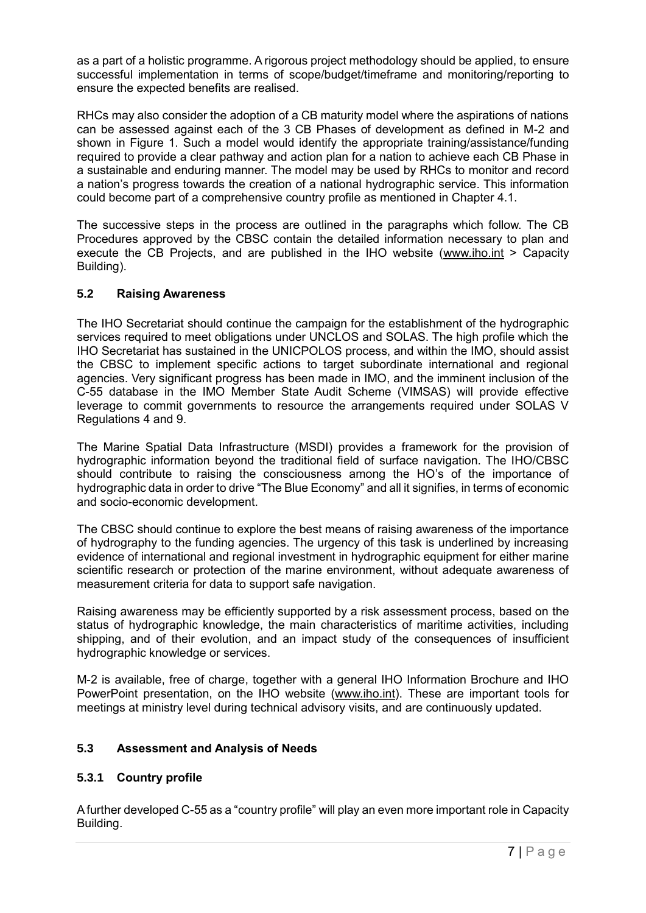as a part of a holistic programme. A rigorous project methodology should be applied, to ensure successful implementation in terms of scope/budget/timeframe and monitoring/reporting to ensure the expected benefits are realised.

RHCs may also consider the adoption of a CB maturity model where the aspirations of nations can be assessed against each of the 3 CB Phases of development as defined in M-2 and shown in Figure 1. Such a model would identify the appropriate training/assistance/funding required to provide a clear pathway and action plan for a nation to achieve each CB Phase in a sustainable and enduring manner. The model may be used by RHCs to monitor and record a nation's progress towards the creation of a national hydrographic service. This information could become part of a comprehensive country profile as mentioned in Chapter 4.1.

The successive steps in the process are outlined in the paragraphs which follow. The CB Procedures approved by the CBSC contain the detailed information necessary to plan and execute the CB Projects, and are published in the IHO website [\(www.iho.int](http://www.iho.int/) > Capacity Building).

#### **5.2 Raising Awareness**

The IHO Secretariat should continue the campaign for the establishment of the hydrographic services required to meet obligations under UNCLOS and SOLAS. The high profile which the IHO Secretariat has sustained in the UNICPOLOS process, and within the IMO, should assist the CBSC to implement specific actions to target subordinate international and regional agencies. Very significant progress has been made in IMO, and the imminent inclusion of the C-55 database in the IMO Member State Audit Scheme (VIMSAS) will provide effective leverage to commit governments to resource the arrangements required under SOLAS V Regulations 4 and 9.

The Marine Spatial Data Infrastructure (MSDI) provides a framework for the provision of hydrographic information beyond the traditional field of surface navigation. The IHO/CBSC should contribute to raising the consciousness among the HO's of the importance of hydrographic data in order to drive "The Blue Economy" and all it signifies, in terms of economic and socio-economic development.

The CBSC should continue to explore the best means of raising awareness of the importance of hydrography to the funding agencies. The urgency of this task is underlined by increasing evidence of international and regional investment in hydrographic equipment for either marine scientific research or protection of the marine environment, without adequate awareness of measurement criteria for data to support safe navigation.

Raising awareness may be efficiently supported by a risk assessment process, based on the status of hydrographic knowledge, the main characteristics of maritime activities, including shipping, and of their evolution, and an impact study of the consequences of insufficient hydrographic knowledge or services.

M-2 is available, free of charge, together with a general IHO Information Brochure and IHO PowerPoint presentation, on the IHO website [\(www.iho.int\)](http://www.iho.int/). These are important tools for meetings at ministry level during technical advisory visits, and are continuously updated.

#### **5.3 Assessment and Analysis of Needs**

#### **5.3.1 Country profile**

A further developed C-55 as a "country profile" will play an even more important role in Capacity Building.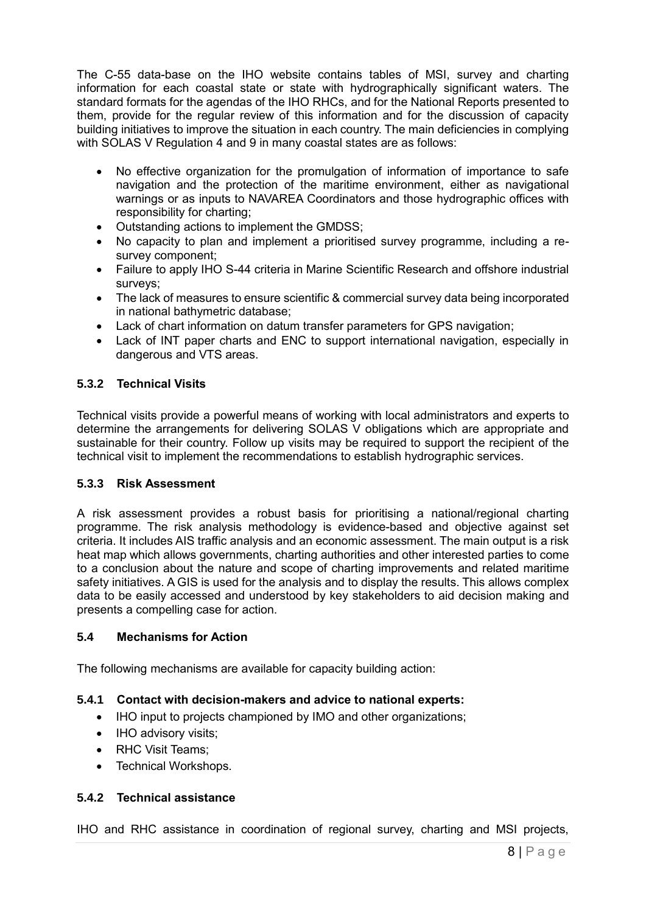The C-55 data-base on the IHO website contains tables of MSI, survey and charting information for each coastal state or state with hydrographically significant waters. The standard formats for the agendas of the IHO RHCs, and for the National Reports presented to them, provide for the regular review of this information and for the discussion of capacity building initiatives to improve the situation in each country. The main deficiencies in complying with SOLAS V Regulation 4 and 9 in many coastal states are as follows:

- No effective organization for the promulgation of information of importance to safe navigation and the protection of the maritime environment, either as navigational warnings or as inputs to NAVAREA Coordinators and those hydrographic offices with responsibility for charting;
- Outstanding actions to implement the GMDSS;
- No capacity to plan and implement a prioritised survey programme, including a resurvey component;
- Failure to apply IHO S-44 criteria in Marine Scientific Research and offshore industrial surveys;
- The lack of measures to ensure scientific & commercial survey data being incorporated in national bathymetric database;
- Lack of chart information on datum transfer parameters for GPS navigation;
- Lack of INT paper charts and ENC to support international navigation, especially in dangerous and VTS areas.

#### **5.3.2 Technical Visits**

Technical visits provide a powerful means of working with local administrators and experts to determine the arrangements for delivering SOLAS V obligations which are appropriate and sustainable for their country. Follow up visits may be required to support the recipient of the technical visit to implement the recommendations to establish hydrographic services.

#### **5.3.3 Risk Assessment**

A risk assessment provides a robust basis for prioritising a national/regional charting programme. The risk analysis methodology is evidence-based and objective against set criteria. It includes AIS traffic analysis and an economic assessment. The main output is a risk heat map which allows governments, charting authorities and other interested parties to come to a conclusion about the nature and scope of charting improvements and related maritime safety initiatives. A GIS is used for the analysis and to display the results. This allows complex data to be easily accessed and understood by key stakeholders to aid decision making and presents a compelling case for action.

#### **5.4 Mechanisms for Action**

The following mechanisms are available for capacity building action:

#### **5.4.1 Contact with decision-makers and advice to national experts:**

- IHO input to projects championed by IMO and other organizations;
- IHO advisory visits;
- RHC Visit Teams;
- Technical Workshops.

#### **5.4.2 Technical assistance**

IHO and RHC assistance in coordination of regional survey, charting and MSI projects,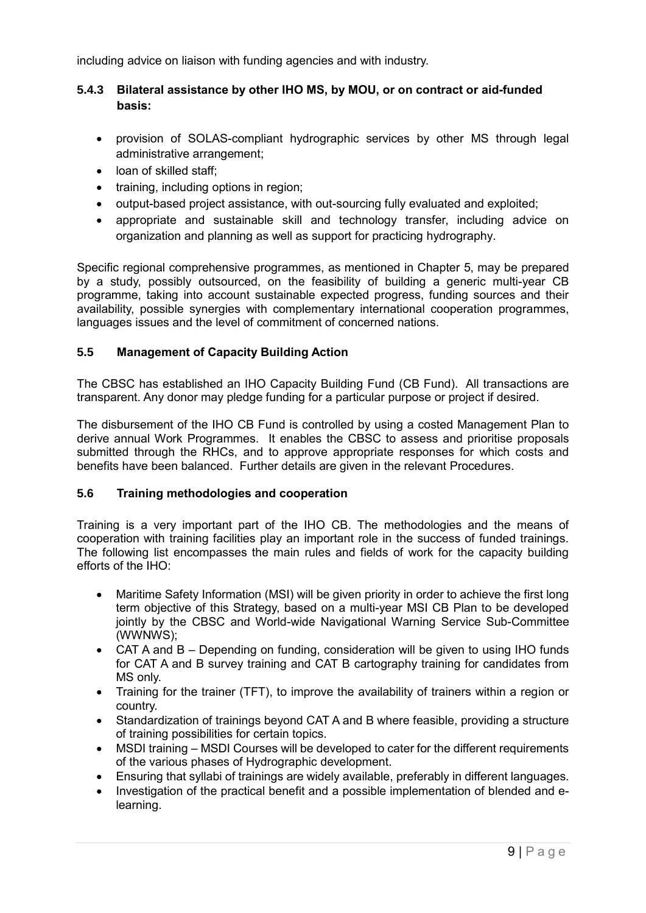including advice on liaison with funding agencies and with industry.

#### **5.4.3 Bilateral assistance by other IHO MS, by MOU, or on contract or aid-funded basis:**

- provision of SOLAS-compliant hydrographic services by other MS through legal administrative arrangement;
- loan of skilled staff:
- training, including options in region;
- output-based project assistance, with out-sourcing fully evaluated and exploited;
- appropriate and sustainable skill and technology transfer, including advice on organization and planning as well as support for practicing hydrography.

Specific regional comprehensive programmes, as mentioned in Chapter 5, may be prepared by a study, possibly outsourced, on the feasibility of building a generic multi-year CB programme, taking into account sustainable expected progress, funding sources and their availability, possible synergies with complementary international cooperation programmes, languages issues and the level of commitment of concerned nations.

#### **5.5 Management of Capacity Building Action**

The CBSC has established an IHO Capacity Building Fund (CB Fund). All transactions are transparent. Any donor may pledge funding for a particular purpose or project if desired.

The disbursement of the IHO CB Fund is controlled by using a costed Management Plan to derive annual Work Programmes. It enables the CBSC to assess and prioritise proposals submitted through the RHCs, and to approve appropriate responses for which costs and benefits have been balanced. Further details are given in the relevant Procedures.

#### **5.6 Training methodologies and cooperation**

Training is a very important part of the IHO CB. The methodologies and the means of cooperation with training facilities play an important role in the success of funded trainings. The following list encompasses the main rules and fields of work for the capacity building efforts of the IHO:

- Maritime Safety Information (MSI) will be given priority in order to achieve the first long term objective of this Strategy, based on a multi-year MSI CB Plan to be developed jointly by the CBSC and World-wide Navigational Warning Service Sub-Committee (WWNWS);
- CAT A and B Depending on funding, consideration will be given to using IHO funds for CAT A and B survey training and CAT B cartography training for candidates from MS only.
- Training for the trainer (TFT), to improve the availability of trainers within a region or country.
- Standardization of trainings beyond CAT A and B where feasible, providing a structure of training possibilities for certain topics.
- MSDI training MSDI Courses will be developed to cater for the different requirements of the various phases of Hydrographic development.
- Ensuring that syllabi of trainings are widely available, preferably in different languages.
- Investigation of the practical benefit and a possible implementation of blended and elearning.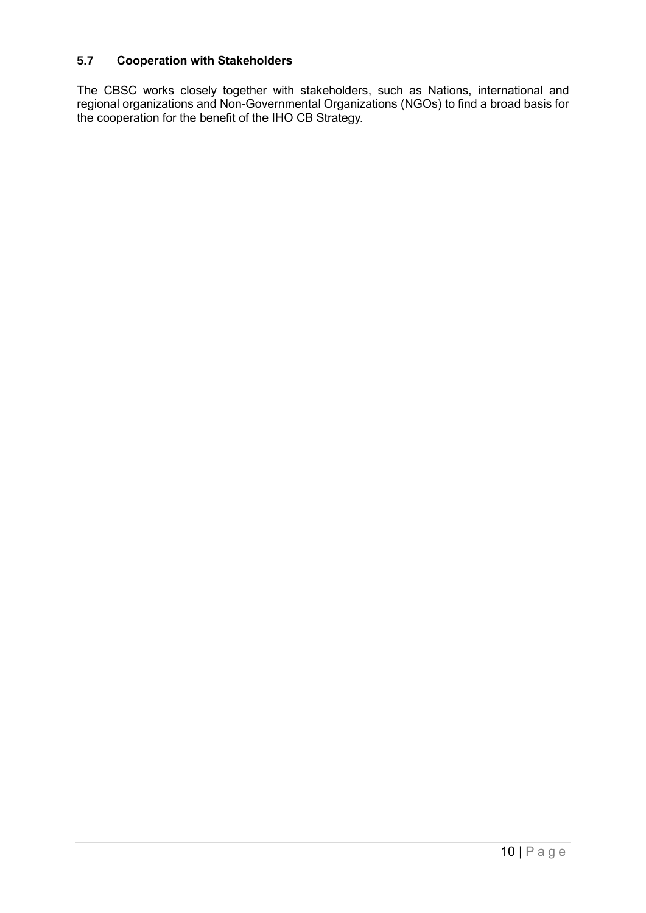#### **5.7 Cooperation with Stakeholders**

The CBSC works closely together with stakeholders, such as Nations, international and regional organizations and Non-Governmental Organizations (NGOs) to find a broad basis for the cooperation for the benefit of the IHO CB Strategy.